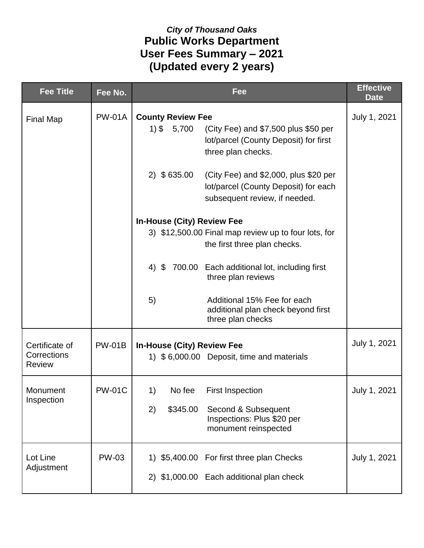## *City of Thousand Oaks* **Public Works Department User Fees Summary – 2021 (Updated every 2 years)**

| <b>Fee Title</b>             | Fee No.       | Fee                                                                                                                                              | <b>Effective</b><br><b>Date</b> |
|------------------------------|---------------|--------------------------------------------------------------------------------------------------------------------------------------------------|---------------------------------|
| <b>Final Map</b>             | <b>PW-01A</b> | <b>County Review Fee</b><br>$1)$ \$ 5,700<br>(City Fee) and \$7,500 plus \$50 per<br>lot/parcel (County Deposit) for first<br>three plan checks. | July 1, 2021                    |
|                              |               | $2)$ \$635.00<br>(City Fee) and \$2,000, plus \$20 per<br>lot/parcel (County Deposit) for each<br>subsequent review, if needed.                  |                                 |
|                              |               | <b>In-House (City) Review Fee</b>                                                                                                                |                                 |
|                              |               | 3) \$12,500.00 Final map review up to four lots, for                                                                                             |                                 |
|                              |               | the first three plan checks.                                                                                                                     |                                 |
|                              |               | $4)$ \$<br>700.00 Each additional lot, including first<br>three plan reviews                                                                     |                                 |
|                              |               | 5)<br>Additional 15% Fee for each<br>additional plan check beyond first<br>three plan checks                                                     |                                 |
| Certificate of               | <b>PW-01B</b> | <b>In-House (City) Review Fee</b>                                                                                                                | July 1, 2021                    |
| Corrections<br><b>Review</b> |               | 1) \$6,000.00 Deposit, time and materials                                                                                                        |                                 |
| Monument<br>Inspection       | <b>PW-01C</b> | 1)<br>No fee<br><b>First Inspection</b>                                                                                                          | July 1, 2021                    |
|                              |               | \$345.00<br>2)<br>Second & Subsequent<br>Inspections: Plus \$20 per<br>monument reinspected                                                      |                                 |
| Lot Line                     | <b>PW-03</b>  | 1) \$5,400.00 For first three plan Checks                                                                                                        | July 1, 2021                    |
| Adjustment                   |               | 2) \$1,000.00 Each additional plan check                                                                                                         |                                 |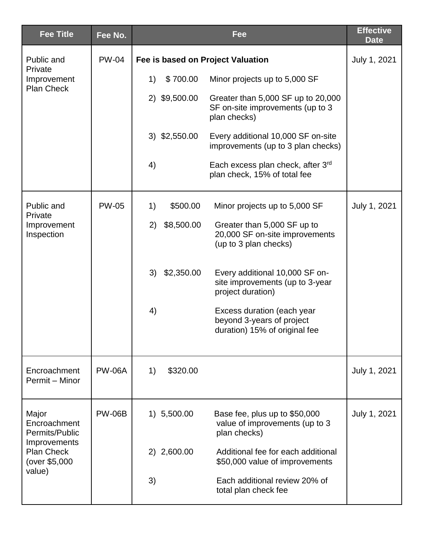| <b>Fee Title</b>                                                                              | Fee No.       | Fee                                                                                                        | <b>Effective</b><br><b>Date</b> |
|-----------------------------------------------------------------------------------------------|---------------|------------------------------------------------------------------------------------------------------------|---------------------------------|
| Public and                                                                                    | <b>PW-04</b>  | Fee is based on Project Valuation                                                                          | July 1, 2021                    |
| Private<br>Improvement                                                                        |               | \$700.00<br>Minor projects up to 5,000 SF<br>1)                                                            |                                 |
| <b>Plan Check</b>                                                                             |               | 2) \$9,500.00<br>Greater than 5,000 SF up to 20,000<br>SF on-site improvements (up to 3<br>plan checks)    |                                 |
|                                                                                               |               | 3) \$2,550.00<br>Every additional 10,000 SF on-site<br>improvements (up to 3 plan checks)                  |                                 |
|                                                                                               |               | 4)<br>Each excess plan check, after 3rd<br>plan check, 15% of total fee                                    |                                 |
| Public and<br>Private                                                                         | <b>PW-05</b>  | 1)<br>\$500.00<br>Minor projects up to 5,000 SF                                                            | July 1, 2021                    |
| Improvement<br>Inspection                                                                     |               | \$8,500.00<br>2)<br>Greater than 5,000 SF up to<br>20,000 SF on-site improvements<br>(up to 3 plan checks) |                                 |
|                                                                                               |               | \$2,350.00<br>Every additional 10,000 SF on-<br>3)<br>site improvements (up to 3-year<br>project duration) |                                 |
|                                                                                               |               | 4)<br>Excess duration (each year<br>beyond 3-years of project<br>duration) 15% of original fee             |                                 |
| Encroachment<br>Permit - Minor                                                                | <b>PW-06A</b> | 1)<br>\$320.00                                                                                             | July 1, 2021                    |
| Major<br>Encroachment<br>Permits/Public<br>Improvements<br><b>Plan Check</b><br>(over \$5,000 | <b>PW-06B</b> | 1) 5,500.00<br>Base fee, plus up to \$50,000<br>value of improvements (up to 3<br>plan checks)             | July 1, 2021                    |
|                                                                                               |               | 2) 2,600.00<br>Additional fee for each additional<br>\$50,000 value of improvements                        |                                 |
| value)                                                                                        |               | 3)<br>Each additional review 20% of<br>total plan check fee                                                |                                 |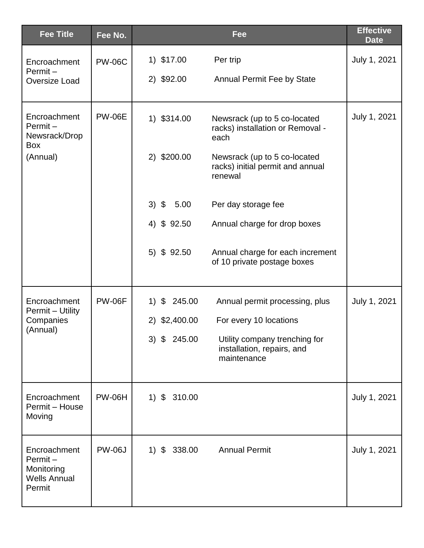| <b>Fee Title</b>                                                       | Fee No.       | <b>Fee</b>                                                                                      | <b>Effective</b><br><b>Date</b> |
|------------------------------------------------------------------------|---------------|-------------------------------------------------------------------------------------------------|---------------------------------|
| Encroachment<br>$Permit -$                                             | <b>PW-06C</b> | 1) \$17.00<br>Per trip                                                                          | July 1, 2021                    |
| Oversize Load                                                          |               | 2) \$92.00<br><b>Annual Permit Fee by State</b>                                                 |                                 |
| Encroachment<br>Permit-<br>Newsrack/Drop<br>Box                        | <b>PW-06E</b> | 1) \$314.00<br>Newsrack (up to 5 co-located<br>racks) installation or Removal -<br>each         | July 1, 2021                    |
| (Annual)                                                               |               | 2) \$200.00<br>Newsrack (up to 5 co-located<br>racks) initial permit and annual<br>renewal      |                                 |
|                                                                        |               | $3)$ \$<br>5.00<br>Per day storage fee                                                          |                                 |
|                                                                        |               | 4) \$92.50<br>Annual charge for drop boxes                                                      |                                 |
|                                                                        |               | 5) \$92.50<br>Annual charge for each increment<br>of 10 private postage boxes                   |                                 |
| Encroachment<br>Permit - Utility                                       | <b>PW-06F</b> | $\boldsymbol{\mathcal{S}}$<br>245.00<br>1)<br>Annual permit processing, plus                    | July 1, 2021                    |
| Companies<br>(Annual)                                                  |               | 2) \$2,400.00<br>For every 10 locations                                                         |                                 |
|                                                                        |               | $3)$ \$<br>245.00<br>Utility company trenching for<br>installation, repairs, and<br>maintenance |                                 |
| Encroachment<br>Permit - House<br>Moving                               | <b>PW-06H</b> | $1)$ \$<br>310.00                                                                               | July 1, 2021                    |
| Encroachment<br>Permit-<br>Monitoring<br><b>Wells Annual</b><br>Permit | <b>PW-06J</b> | $1)$ \$<br>338.00<br><b>Annual Permit</b>                                                       | July 1, 2021                    |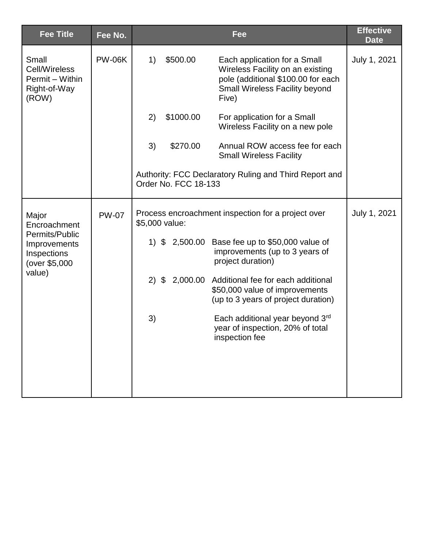| <b>Fee Title</b>                                                         | Fee No.       |         |                                                                      | Fee                                                                                                                                               | <b>Effective</b><br><b>Date</b> |  |
|--------------------------------------------------------------------------|---------------|---------|----------------------------------------------------------------------|---------------------------------------------------------------------------------------------------------------------------------------------------|---------------------------------|--|
| Small<br>Cell/Wireless<br>Permit - Within<br>Right-of-Way<br>(ROW)       | <b>PW-06K</b> | 1)      | \$500.00                                                             | Each application for a Small<br>Wireless Facility on an existing<br>pole (additional \$100.00 for each<br>Small Wireless Facility beyond<br>Five) | July 1, 2021                    |  |
|                                                                          |               | 2)      | \$1000.00                                                            | For application for a Small<br>Wireless Facility on a new pole                                                                                    |                                 |  |
|                                                                          |               | 3)      | \$270.00                                                             | Annual ROW access fee for each<br><b>Small Wireless Facility</b>                                                                                  |                                 |  |
|                                                                          |               |         | Order No. FCC 18-133                                                 | Authority: FCC Declaratory Ruling and Third Report and                                                                                            |                                 |  |
| Major<br>Encroachment                                                    | <b>PW-07</b>  |         | Process encroachment inspection for a project over<br>\$5,000 value: |                                                                                                                                                   |                                 |  |
| Permits/Public<br>Improvements<br>Inspections<br>(over \$5,000<br>value) |               | $1)$ \$ | 2,500.00                                                             | Base fee up to \$50,000 value of<br>improvements (up to 3 years of<br>project duration)                                                           |                                 |  |
|                                                                          |               | $2)$ \$ |                                                                      | 2,000.00 Additional fee for each additional<br>\$50,000 value of improvements<br>(up to 3 years of project duration)                              |                                 |  |
|                                                                          |               | 3)      |                                                                      | Each additional year beyond 3rd<br>year of inspection, 20% of total<br>inspection fee                                                             |                                 |  |
|                                                                          |               |         |                                                                      |                                                                                                                                                   |                                 |  |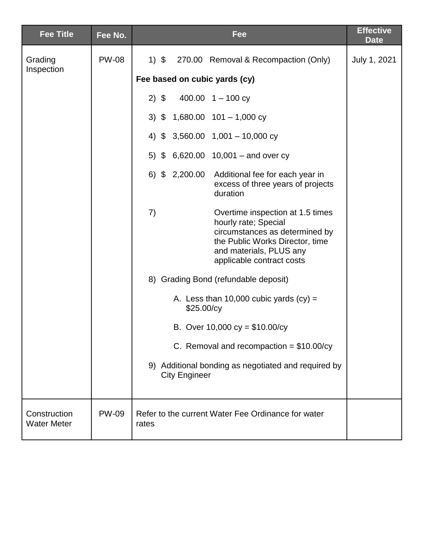| <b>Fee Title</b>                   | Fee No.      | Fee                                                                                                                                                                                         | <b>Effective</b><br><b>Date</b>                                                                      |  |  |  |                                           |  |  |  |  |  |                                  |  |                                      |  |
|------------------------------------|--------------|---------------------------------------------------------------------------------------------------------------------------------------------------------------------------------------------|------------------------------------------------------------------------------------------------------|--|--|--|-------------------------------------------|--|--|--|--|--|----------------------------------|--|--------------------------------------|--|
| Grading                            | <b>PW-08</b> | 1) \$ 270.00 Removal & Recompaction (Only)                                                                                                                                                  | July 1, 2021                                                                                         |  |  |  |                                           |  |  |  |  |  |                                  |  |                                      |  |
| Inspection                         |              | Fee based on cubic yards (cy)                                                                                                                                                               |                                                                                                      |  |  |  |                                           |  |  |  |  |  |                                  |  |                                      |  |
|                                    |              | $2)$ \$<br>400.00 $1 - 100$ cy                                                                                                                                                              |                                                                                                      |  |  |  |                                           |  |  |  |  |  |                                  |  |                                      |  |
|                                    |              | 3) $$ 1,680.00 101 - 1,000 cy$                                                                                                                                                              |                                                                                                      |  |  |  |                                           |  |  |  |  |  |                                  |  |                                      |  |
|                                    |              | 4) $$3,560.00$ 1,001 - 10,000 cy                                                                                                                                                            |                                                                                                      |  |  |  |                                           |  |  |  |  |  |                                  |  |                                      |  |
|                                    |              | 5) $$6,620.00 10,001 - and over cy$                                                                                                                                                         |                                                                                                      |  |  |  |                                           |  |  |  |  |  |                                  |  |                                      |  |
|                                    |              |                                                                                                                                                                                             | $6)$ \$ 2,200.00<br>Additional fee for each year in<br>excess of three years of projects<br>duration |  |  |  |                                           |  |  |  |  |  |                                  |  |                                      |  |
|                                    |              | 7)<br>Overtime inspection at 1.5 times<br>hourly rate; Special<br>circumstances as determined by<br>the Public Works Director, time<br>and materials, PLUS any<br>applicable contract costs |                                                                                                      |  |  |  |                                           |  |  |  |  |  |                                  |  |                                      |  |
|                                    |              |                                                                                                                                                                                             |                                                                                                      |  |  |  |                                           |  |  |  |  |  |                                  |  | 8) Grading Bond (refundable deposit) |  |
|                                    |              |                                                                                                                                                                                             | A. Less than 10,000 cubic yards $(cy) =$<br>\$25.00/cy                                               |  |  |  |                                           |  |  |  |  |  |                                  |  |                                      |  |
|                                    |              |                                                                                                                                                                                             |                                                                                                      |  |  |  |                                           |  |  |  |  |  | B. Over 10,000 cy = $$10.00$ /cy |  |                                      |  |
|                                    |              |                                                                                                                                                                                             |                                                                                                      |  |  |  | C. Removal and recompaction = $$10.00/cy$ |  |  |  |  |  |                                  |  |                                      |  |
|                                    |              | 9) Additional bonding as negotiated and required by<br><b>City Engineer</b>                                                                                                                 |                                                                                                      |  |  |  |                                           |  |  |  |  |  |                                  |  |                                      |  |
| Construction<br><b>Water Meter</b> | <b>PW-09</b> | Refer to the current Water Fee Ordinance for water<br>rates                                                                                                                                 |                                                                                                      |  |  |  |                                           |  |  |  |  |  |                                  |  |                                      |  |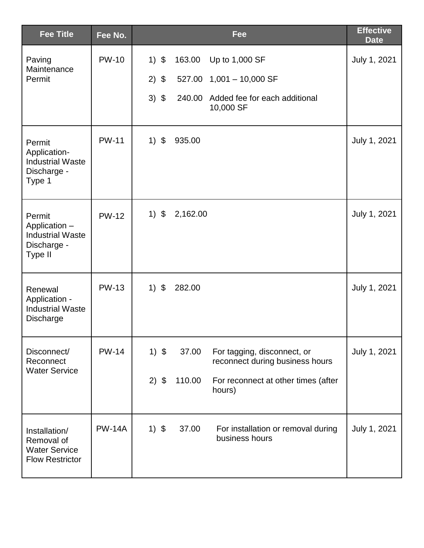| <b>Fee Title</b>                                                              | Fee No.       |         |          | Fee                                                            | <b>Effective</b><br><b>Date</b> |
|-------------------------------------------------------------------------------|---------------|---------|----------|----------------------------------------------------------------|---------------------------------|
| Paving                                                                        | <b>PW-10</b>  | $1)$ \$ | 163.00   | Up to 1,000 SF                                                 | July 1, 2021                    |
| Maintenance<br>Permit                                                         |               | $2)$ \$ |          | $527.00$ 1,001 - 10,000 SF                                     |                                 |
|                                                                               |               | $3)$ \$ |          | 240.00 Added fee for each additional<br>10,000 SF              |                                 |
| Permit<br>Application-<br><b>Industrial Waste</b><br>Discharge -<br>Type 1    | <b>PW-11</b>  | $1)$ \$ | 935.00   |                                                                | July 1, 2021                    |
| Permit<br>Application -<br><b>Industrial Waste</b><br>Discharge -<br>Type II  | <b>PW-12</b>  | $1)$ \$ | 2,162.00 |                                                                | July 1, 2021                    |
| Renewal<br>Application -<br><b>Industrial Waste</b><br>Discharge              | <b>PW-13</b>  | $1)$ \$ | 282.00   |                                                                | July 1, 2021                    |
| Disconnect/<br>Reconnect                                                      | <b>PW-14</b>  | $1)$ \$ | 37.00    | For tagging, disconnect, or<br>reconnect during business hours | July 1, 2021                    |
| <b>Water Service</b>                                                          |               | $2)$ \$ | 110.00   | For reconnect at other times (after<br>hours)                  |                                 |
| Installation/<br>Removal of<br><b>Water Service</b><br><b>Flow Restrictor</b> | <b>PW-14A</b> | $1)$ \$ | 37.00    | For installation or removal during<br>business hours           | July 1, 2021                    |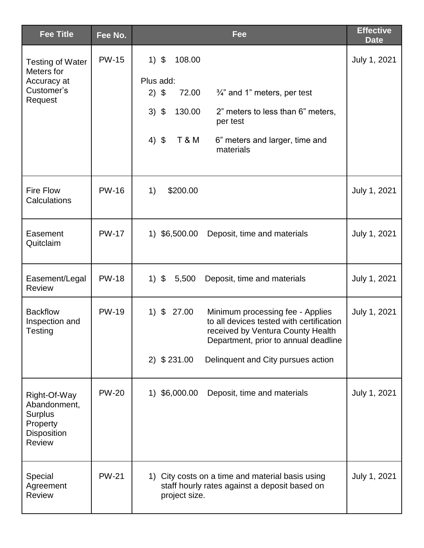| <b>Fee Title</b>                                                                           | Fee No.      | <b>Fee</b>                                                                                                                                                                                                                                       | <b>Effective</b><br><b>Date</b> |
|--------------------------------------------------------------------------------------------|--------------|--------------------------------------------------------------------------------------------------------------------------------------------------------------------------------------------------------------------------------------------------|---------------------------------|
| <b>Testing of Water</b><br>Meters for<br>Accuracy at<br>Customer's<br>Request              | <b>PW-15</b> | $1)$ \$<br>108.00<br>Plus add:<br>$2)$ \$<br>72.00<br>$\frac{3}{4}$ " and 1" meters, per test<br>$3)$ \$<br>130.00<br>2" meters to less than 6" meters,<br>per test<br>4) $$$<br><b>T &amp; M</b><br>6" meters and larger, time and<br>materials | July 1, 2021                    |
| <b>Fire Flow</b><br>Calculations                                                           | <b>PW-16</b> | 1)<br>\$200.00                                                                                                                                                                                                                                   | July 1, 2021                    |
| Easement<br>Quitclaim                                                                      | <b>PW-17</b> | 1) \$6,500.00<br>Deposit, time and materials                                                                                                                                                                                                     | July 1, 2021                    |
| Easement/Legal<br><b>Review</b>                                                            | <b>PW-18</b> | $1)$ \$<br>5,500<br>Deposit, time and materials                                                                                                                                                                                                  | July 1, 2021                    |
| <b>Backflow</b><br>Inspection and<br>Testing                                               | <b>PW-19</b> | $1)$ \$<br>27.00<br>Minimum processing fee - Applies<br>to all devices tested with certification<br>received by Ventura County Health<br>Department, prior to annual deadline<br>$2)$ \$ 231.00<br>Delinquent and City pursues action            | July 1, 2021                    |
| Right-Of-Way<br>Abandonment,<br><b>Surplus</b><br>Property<br>Disposition<br><b>Review</b> | <b>PW-20</b> | 1) \$6,000.00<br>Deposit, time and materials                                                                                                                                                                                                     | July 1, 2021                    |
| Special<br>Agreement<br><b>Review</b>                                                      | <b>PW-21</b> | 1) City costs on a time and material basis using<br>staff hourly rates against a deposit based on<br>project size.                                                                                                                               | July 1, 2021                    |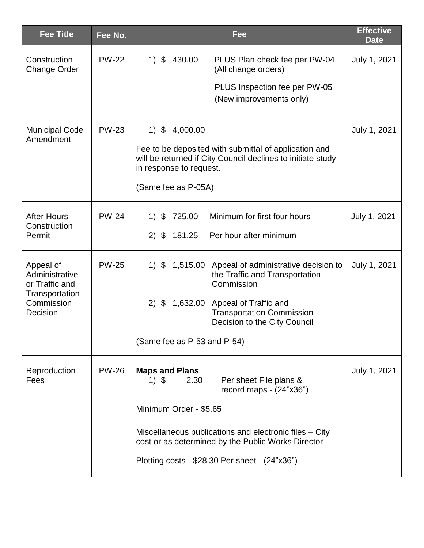| <b>Fee Title</b>                              | Fee No.      | Fee                                                                                                                                             | <b>Effective</b><br><b>Date</b> |
|-----------------------------------------------|--------------|-------------------------------------------------------------------------------------------------------------------------------------------------|---------------------------------|
| Construction<br><b>Change Order</b>           | <b>PW-22</b> | 1)<br>\$<br>430.00<br>PLUS Plan check fee per PW-04<br>(All change orders)                                                                      | July 1, 2021                    |
|                                               |              | PLUS Inspection fee per PW-05<br>(New improvements only)                                                                                        |                                 |
| <b>Municipal Code</b><br>Amendment            | <b>PW-23</b> | $1)$ \$<br>4,000.00                                                                                                                             | July 1, 2021                    |
|                                               |              | Fee to be deposited with submittal of application and<br>will be returned if City Council declines to initiate study<br>in response to request. |                                 |
|                                               |              | (Same fee as P-05A)                                                                                                                             |                                 |
| <b>After Hours</b><br>Construction            | <b>PW-24</b> | \$<br>725.00<br>Minimum for first four hours<br>1)                                                                                              | July 1, 2021                    |
| Permit                                        |              | Per hour after minimum<br>(2)<br>181.25<br>-\$                                                                                                  |                                 |
| Appeal of<br>Administrative<br>or Traffic and | <b>PW-25</b> | $1)$ \$<br>1,515.00 Appeal of administrative decision to<br>the Traffic and Transportation<br>Commission                                        | July 1, 2021                    |
| Transportation<br>Commission<br>Decision      |              | $2)$ \$<br>1,632.00<br>Appeal of Traffic and<br><b>Transportation Commission</b><br>Decision to the City Council                                |                                 |
|                                               |              | (Same fee as P-53 and P-54)                                                                                                                     |                                 |
| Reproduction<br>Fees                          | <b>PW-26</b> | <b>Maps and Plans</b><br>2.30<br>Per sheet File plans &<br>1) \$<br>record maps $ (24"x36")$                                                    | July 1, 2021                    |
|                                               |              | Minimum Order - \$5.65                                                                                                                          |                                 |
|                                               |              | Miscellaneous publications and electronic files – City<br>cost or as determined by the Public Works Director                                    |                                 |
|                                               |              | Plotting costs - \$28.30 Per sheet - (24"x36")                                                                                                  |                                 |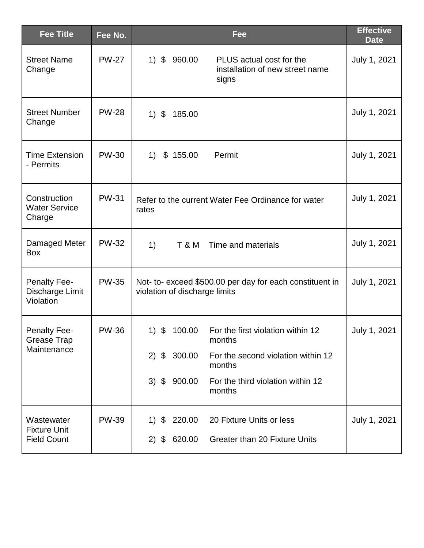| <b>Fee Title</b>                                    | Fee No.      | Fee                                                                                                    | <b>Effective</b><br><b>Date</b> |
|-----------------------------------------------------|--------------|--------------------------------------------------------------------------------------------------------|---------------------------------|
| <b>Street Name</b><br>Change                        | <b>PW-27</b> | $\mathfrak{F}$<br>1)<br>960.00<br>PLUS actual cost for the<br>installation of new street name<br>signs | July 1, 2021                    |
| <b>Street Number</b><br>Change                      | <b>PW-28</b> | $1)$ \$<br>185.00                                                                                      | July 1, 2021                    |
| <b>Time Extension</b><br>- Permits                  | <b>PW-30</b> | 1)<br>\$155.00<br>Permit                                                                               | July 1, 2021                    |
| Construction<br><b>Water Service</b><br>Charge      | <b>PW-31</b> | Refer to the current Water Fee Ordinance for water<br>rates                                            | July 1, 2021                    |
| Damaged Meter<br><b>Box</b>                         | <b>PW-32</b> | 1)<br><b>T &amp; M</b><br>Time and materials                                                           | July 1, 2021                    |
| <b>Penalty Fee-</b><br>Discharge Limit<br>Violation | <b>PW-35</b> | Not- to- exceed \$500.00 per day for each constituent in<br>violation of discharge limits              | July 1, 2021                    |
| <b>Penalty Fee-</b><br><b>Grease Trap</b>           | <b>PW-36</b> | \$<br>100.00<br>For the first violation within 12<br>1)<br>months                                      | July 1, 2021                    |
| Maintenance                                         |              | 300.00<br>2)<br>\$<br>For the second violation within 12<br>months                                     |                                 |
|                                                     |              | 3)<br>900.00<br>For the third violation within 12<br>\$<br>months                                      |                                 |
| Wastewater<br><b>Fixture Unit</b>                   | <b>PW-39</b> | 220.00<br>20 Fixture Units or less<br>\$<br>1)                                                         | July 1, 2021                    |
| <b>Field Count</b>                                  |              | 620.00<br>2)<br>Greater than 20 Fixture Units<br>\$                                                    |                                 |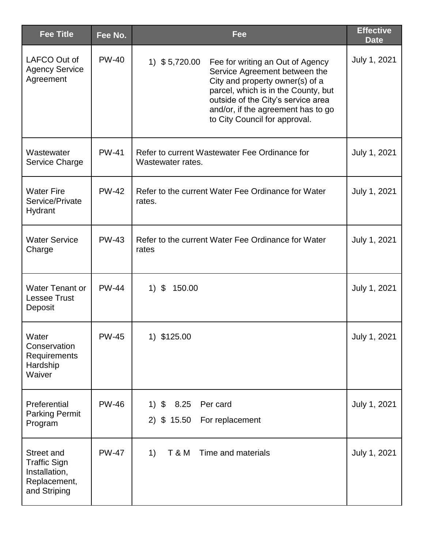| <b>Fee Title</b>                                                                   | Fee No.      | Fee                                                                                                                                                                                                                                                                        | <b>Effective</b><br><b>Date</b> |
|------------------------------------------------------------------------------------|--------------|----------------------------------------------------------------------------------------------------------------------------------------------------------------------------------------------------------------------------------------------------------------------------|---------------------------------|
| LAFCO Out of<br><b>Agency Service</b><br>Agreement                                 | <b>PW-40</b> | 1) $$5,720.00$<br>Fee for writing an Out of Agency<br>Service Agreement between the<br>City and property owner(s) of a<br>parcel, which is in the County, but<br>outside of the City's service area<br>and/or, if the agreement has to go<br>to City Council for approval. | July 1, 2021                    |
| Wastewater<br>Service Charge                                                       | <b>PW-41</b> | Refer to current Wastewater Fee Ordinance for<br>Wastewater rates.                                                                                                                                                                                                         | July 1, 2021                    |
| <b>Water Fire</b><br>Service/Private<br>Hydrant                                    | <b>PW-42</b> | Refer to the current Water Fee Ordinance for Water<br>rates.                                                                                                                                                                                                               | July 1, 2021                    |
| <b>Water Service</b><br>Charge                                                     | <b>PW-43</b> | Refer to the current Water Fee Ordinance for Water<br>rates                                                                                                                                                                                                                | July 1, 2021                    |
| <b>Water Tenant or</b><br><b>Lessee Trust</b><br>Deposit                           | <b>PW-44</b> | $1)$ \$<br>150.00                                                                                                                                                                                                                                                          | July 1, 2021                    |
| Water<br>Conservation<br>Requirements<br>Hardship<br>Waiver                        | PW-45        | 1) \$125.00                                                                                                                                                                                                                                                                | July 1, 2021                    |
| Preferential<br><b>Parking Permit</b><br>Program                                   | <b>PW-46</b> | 8.25<br>$1)$ \$<br>Per card<br>$2)$ \$ 15.50<br>For replacement                                                                                                                                                                                                            | July 1, 2021                    |
| Street and<br><b>Traffic Sign</b><br>Installation,<br>Replacement,<br>and Striping | <b>PW-47</b> | 1)<br><b>T &amp; M</b><br>Time and materials                                                                                                                                                                                                                               | July 1, 2021                    |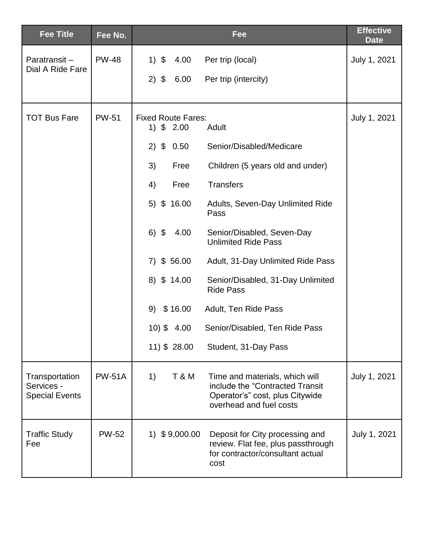| <b>Fee Title</b>                                      | Fee No.       | Fee                                                                                                                                                      | <b>Effective</b><br><b>Date</b> |
|-------------------------------------------------------|---------------|----------------------------------------------------------------------------------------------------------------------------------------------------------|---------------------------------|
| Paratransit-<br>Dial A Ride Fare                      | <b>PW-48</b>  | $1)$ \$<br>Per trip (local)<br>4.00                                                                                                                      | July 1, 2021                    |
|                                                       |               | $2)$ \$<br>6.00<br>Per trip (intercity)                                                                                                                  |                                 |
| <b>TOT Bus Fare</b>                                   | <b>PW-51</b>  | <b>Fixed Route Fares:</b><br>1) $$2.00$<br>Adult                                                                                                         | July 1, 2021                    |
|                                                       |               | $2)$ \$<br>Senior/Disabled/Medicare<br>0.50                                                                                                              |                                 |
|                                                       |               | 3)<br>Free<br>Children (5 years old and under)                                                                                                           |                                 |
|                                                       |               | <b>Transfers</b><br>4)<br>Free                                                                                                                           |                                 |
|                                                       |               | $5)$ \$ 16.00<br>Adults, Seven-Day Unlimited Ride<br>Pass                                                                                                |                                 |
|                                                       |               | $6)$ \$<br>4.00<br>Senior/Disabled, Seven-Day<br><b>Unlimited Ride Pass</b>                                                                              |                                 |
|                                                       |               | $7)$ \$ 56.00<br>Adult, 31-Day Unlimited Ride Pass                                                                                                       |                                 |
|                                                       |               | $8)$ \$ 14.00<br>Senior/Disabled, 31-Day Unlimited<br><b>Ride Pass</b>                                                                                   |                                 |
|                                                       |               | 9)<br>\$16.00<br>Adult, Ten Ride Pass                                                                                                                    |                                 |
|                                                       |               | $10)$ \$ 4.00<br>Senior/Disabled, Ten Ride Pass                                                                                                          |                                 |
|                                                       |               | 11) \$ 28.00<br>Student, 31-Day Pass                                                                                                                     |                                 |
| Transportation<br>Services -<br><b>Special Events</b> | <b>PW-51A</b> | <b>T&amp;M</b><br>1)<br>Time and materials, which will<br>include the "Contracted Transit"<br>Operator's" cost, plus Citywide<br>overhead and fuel costs | July 1, 2021                    |
| <b>Traffic Study</b><br>Fee                           | <b>PW-52</b>  | $1)$ \$9,000.00<br>Deposit for City processing and<br>review. Flat fee, plus passthrough<br>for contractor/consultant actual<br>cost                     | July 1, 2021                    |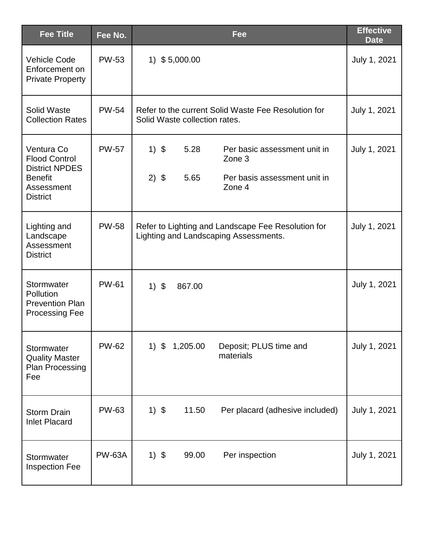| <b>Fee Title</b>                                                                                               | Fee No.       | Fee                                                                                                                    | <b>Effective</b><br><b>Date</b> |
|----------------------------------------------------------------------------------------------------------------|---------------|------------------------------------------------------------------------------------------------------------------------|---------------------------------|
| <b>Vehicle Code</b><br>Enforcement on<br><b>Private Property</b>                                               | <b>PW-53</b>  | 1) $$5,000.00$                                                                                                         | July 1, 2021                    |
| Solid Waste<br><b>Collection Rates</b>                                                                         | <b>PW-54</b>  | Refer to the current Solid Waste Fee Resolution for<br>Solid Waste collection rates.                                   | July 1, 2021                    |
| Ventura Co<br><b>Flood Control</b><br><b>District NPDES</b><br><b>Benefit</b><br>Assessment<br><b>District</b> | <b>PW-57</b>  | $1)$ \$<br>5.28<br>Per basic assessment unit in<br>Zone 3<br>$2)$ \$<br>5.65<br>Per basis assessment unit in<br>Zone 4 | July 1, 2021                    |
| Lighting and<br>Landscape<br>Assessment<br><b>District</b>                                                     | <b>PW-58</b>  | Refer to Lighting and Landscape Fee Resolution for<br>Lighting and Landscaping Assessments.                            | July 1, 2021                    |
| Stormwater<br><b>Pollution</b><br><b>Prevention Plan</b><br><b>Processing Fee</b>                              | <b>PW-61</b>  | $1)$ \$<br>867.00                                                                                                      | July 1, 2021                    |
| Stormwater<br><b>Quality Master</b><br><b>Plan Processing</b><br>Fee                                           | <b>PW-62</b>  | $1)$ \$<br>1,205.00<br>Deposit; PLUS time and<br>materials                                                             | July 1, 2021                    |
| <b>Storm Drain</b><br><b>Inlet Placard</b>                                                                     | <b>PW-63</b>  | $1)$ \$<br>11.50<br>Per placard (adhesive included)                                                                    | July 1, 2021                    |
| Stormwater<br><b>Inspection Fee</b>                                                                            | <b>PW-63A</b> | $1)$ \$<br>99.00<br>Per inspection                                                                                     | July 1, 2021                    |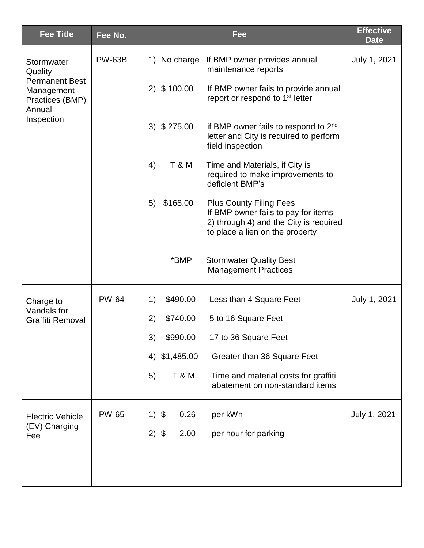| <b>Fee Title</b>                                                                                        | Fee No.       |         |                  | Fee                                                                                                                                                | <b>Effective</b><br><b>Date</b> |
|---------------------------------------------------------------------------------------------------------|---------------|---------|------------------|----------------------------------------------------------------------------------------------------------------------------------------------------|---------------------------------|
| Stormwater<br>Quality<br><b>Permanent Best</b><br>Management<br>Practices (BMP)<br>Annual<br>Inspection | <b>PW-63B</b> |         |                  | 1) No charge If BMP owner provides annual<br>maintenance reports                                                                                   | July 1, 2021                    |
|                                                                                                         |               |         | $2)$ \$ 100.00   | If BMP owner fails to provide annual<br>report or respond to 1 <sup>st</sup> letter                                                                |                                 |
|                                                                                                         |               |         | $3)$ \$ 275.00   | if BMP owner fails to respond to $2nd$<br>letter and City is required to perform<br>field inspection                                               |                                 |
|                                                                                                         |               | 4)      | <b>T &amp; M</b> | Time and Materials, if City is<br>required to make improvements to<br>deficient BMP's                                                              |                                 |
|                                                                                                         |               | 5)      | \$168.00         | <b>Plus County Filing Fees</b><br>If BMP owner fails to pay for items<br>2) through 4) and the City is required<br>to place a lien on the property |                                 |
|                                                                                                         |               |         | *BMP             | <b>Stormwater Quality Best</b><br><b>Management Practices</b>                                                                                      |                                 |
| Charge to<br>Vandals for<br><b>Graffiti Removal</b>                                                     | <b>PW-64</b>  | 1)      | \$490.00         | Less than 4 Square Feet                                                                                                                            | July 1, 2021                    |
|                                                                                                         |               | 2)      | \$740.00         | 5 to 16 Square Feet                                                                                                                                |                                 |
|                                                                                                         |               | 3)      | \$990.00         | 17 to 36 Square Feet                                                                                                                               |                                 |
|                                                                                                         |               | 4)      | \$1,485.00       | Greater than 36 Square Feet                                                                                                                        |                                 |
|                                                                                                         |               | 5)      | <b>T &amp; M</b> | Time and material costs for graffiti<br>abatement on non-standard items                                                                            |                                 |
| <b>Electric Vehicle</b><br>(EV) Charging<br>Fee                                                         | <b>PW-65</b>  | $1)$ \$ | 0.26             | per kWh                                                                                                                                            | July 1, 2021                    |
|                                                                                                         |               | $2)$ \$ | 2.00             | per hour for parking                                                                                                                               |                                 |
|                                                                                                         |               |         |                  |                                                                                                                                                    |                                 |